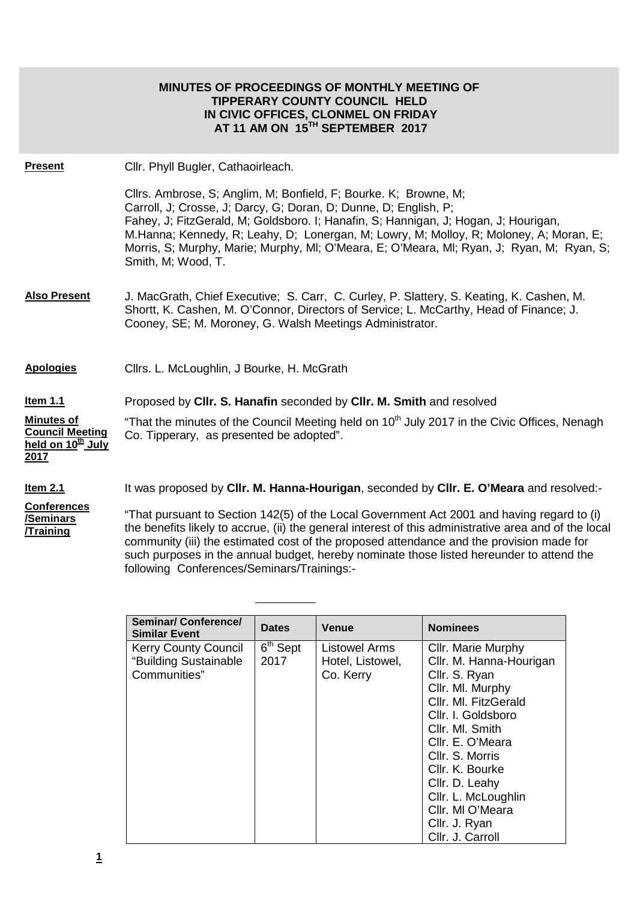|                                                                                      | <b>MINUTES OF PROCEEDINGS OF MONTHLY MEETING OF</b><br><b>TIPPERARY COUNTY COUNCIL HELD</b><br>IN CIVIC OFFICES, CLONMEL ON FRIDAY<br>AT 11 AM ON 15TH SEPTEMBER 2017                                                                                                                                                                                                                                                                    |
|--------------------------------------------------------------------------------------|------------------------------------------------------------------------------------------------------------------------------------------------------------------------------------------------------------------------------------------------------------------------------------------------------------------------------------------------------------------------------------------------------------------------------------------|
| <b>Present</b>                                                                       | Cllr. Phyll Bugler, Cathaoirleach.                                                                                                                                                                                                                                                                                                                                                                                                       |
|                                                                                      | Cllrs. Ambrose, S; Anglim, M; Bonfield, F; Bourke. K; Browne, M;<br>Carroll, J; Crosse, J; Darcy, G; Doran, D; Dunne, D; English, P;<br>Fahey, J; FitzGerald, M; Goldsboro. I; Hanafin, S; Hannigan, J; Hogan, J; Hourigan,<br>M.Hanna; Kennedy, R; Leahy, D; Lonergan, M; Lowry, M; Molloy, R; Moloney, A; Moran, E;<br>Morris, S; Murphy, Marie; Murphy, MI; O'Meara, E; O'Meara, MI; Ryan, J; Ryan, M; Ryan, S;<br>Smith, M; Wood, T. |
| <b>Also Present</b>                                                                  | J. MacGrath, Chief Executive; S. Carr, C. Curley, P. Slattery, S. Keating, K. Cashen, M.<br>Shortt, K. Cashen, M. O'Connor, Directors of Service; L. McCarthy, Head of Finance; J.<br>Cooney, SE; M. Moroney, G. Walsh Meetings Administrator.                                                                                                                                                                                           |
| <b>Apologies</b>                                                                     | Cllrs. L. McLoughlin, J Bourke, H. McGrath                                                                                                                                                                                                                                                                                                                                                                                               |
| <u>Item 1.1</u>                                                                      | Proposed by CIIr. S. Hanafin seconded by CIIr. M. Smith and resolved                                                                                                                                                                                                                                                                                                                                                                     |
| <b>Minutes of</b><br><b>Council Meeting</b><br>held on 10 <sup>th</sup> July<br>2017 | "That the minutes of the Council Meeting held on 10 <sup>th</sup> July 2017 in the Civic Offices, Nenagh<br>Co. Tipperary, as presented be adopted".                                                                                                                                                                                                                                                                                     |
| Item $2.1$                                                                           | It was proposed by Cllr. M. Hanna-Hourigan, seconded by Cllr. E. O'Meara and resolved:-                                                                                                                                                                                                                                                                                                                                                  |
| <b>Conferences</b><br><u>/Seminars</u><br><b>Training</b>                            | "That pursuant to Section 142(5) of the Local Government Act 2001 and having regard to (i)<br>the benefits likely to accrue, (ii) the general interest of this administrative area and of the local                                                                                                                                                                                                                                      |

the benefits likely to accrue, (ii) the general interest of this administrative area and of the local community (iii) the estimated cost of the proposed attendance and the provision made for such purposes in the annual budget, hereby nominate those listed hereunder to attend the following Conferences/Seminars/Trainings:-

| <b>Seminar/ Conference/</b><br><b>Similar Event</b> | <b>Dates</b>                    | <b>Venue</b>         | <b>Nominees</b>         |
|-----------------------------------------------------|---------------------------------|----------------------|-------------------------|
| <b>Kerry County Council</b>                         | $\overline{6}^{\text{th}}$ Sept | <b>Listowel Arms</b> | Cllr. Marie Murphy      |
| "Building Sustainable                               | 2017                            | Hotel, Listowel,     | Cllr. M. Hanna-Hourigan |
| Communities"                                        |                                 | Co. Kerry            | Cllr. S. Ryan           |
|                                                     |                                 |                      | Cllr. Ml. Murphy        |
|                                                     |                                 |                      | Cllr. Ml. FitzGerald    |
|                                                     |                                 |                      | Cllr. I. Goldsboro      |
|                                                     |                                 |                      | Cllr. MI. Smith         |
|                                                     |                                 |                      | Cllr. E. O'Meara        |
|                                                     |                                 |                      | Cllr. S. Morris         |
|                                                     |                                 |                      | Cllr. K. Bourke         |
|                                                     |                                 |                      | Cllr. D. Leahy          |
|                                                     |                                 |                      | Cllr. L. McLoughlin     |
|                                                     |                                 |                      | Cllr. MI O'Meara        |
|                                                     |                                 |                      | Cllr. J. Ryan           |
|                                                     |                                 |                      | Cllr. J. Carroll        |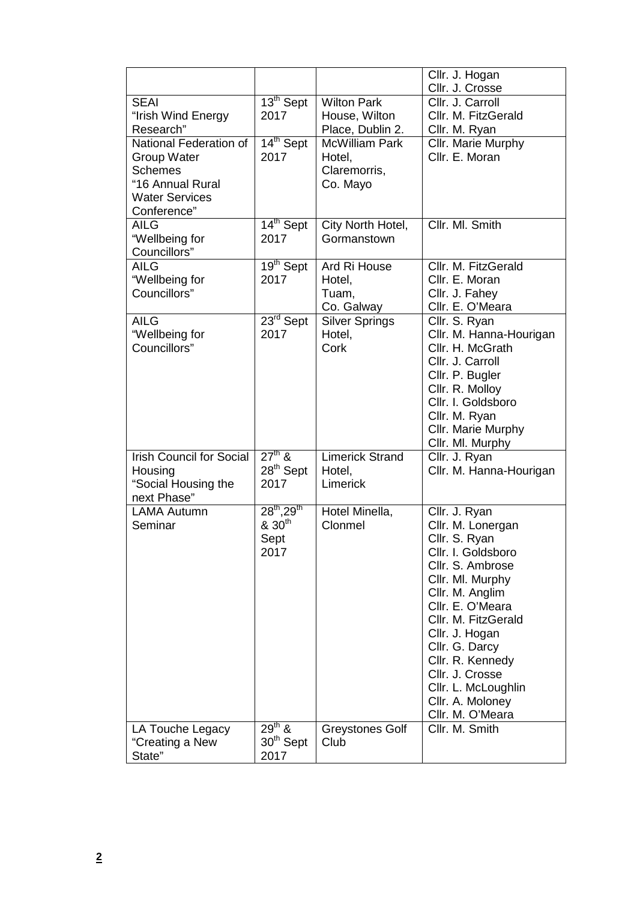|                                                                                                                            |                                                             |                                                             | Cllr. J. Hogan<br>Cllr. J. Crosse                                                                                                                                                                                                                                                                                         |
|----------------------------------------------------------------------------------------------------------------------------|-------------------------------------------------------------|-------------------------------------------------------------|---------------------------------------------------------------------------------------------------------------------------------------------------------------------------------------------------------------------------------------------------------------------------------------------------------------------------|
| <b>SEAI</b><br>"Irish Wind Energy<br>Research"                                                                             | 13 <sup>th</sup> Sept<br>2017                               | <b>Wilton Park</b><br>House, Wilton<br>Place, Dublin 2.     | Cllr. J. Carroll<br>Cllr. M. FitzGerald<br>Cllr. M. Ryan                                                                                                                                                                                                                                                                  |
| National Federation of<br><b>Group Water</b><br><b>Schemes</b><br>"16 Annual Rural<br><b>Water Services</b><br>Conference" | 14 <sup>th</sup> Sept<br>2017                               | <b>McWilliam Park</b><br>Hotel,<br>Claremorris,<br>Co. Mayo | Cllr. Marie Murphy<br>Cllr. E. Moran                                                                                                                                                                                                                                                                                      |
| <b>AILG</b><br>"Wellbeing for<br>Councillors"                                                                              | 14 <sup>th</sup> Sept<br>2017                               | City North Hotel,<br>Gormanstown                            | Cllr. Ml. Smith                                                                                                                                                                                                                                                                                                           |
| <b>AILG</b><br>"Wellbeing for<br>Councillors"                                                                              | 19 <sup>th</sup> Sept<br>2017                               | Ard Ri House<br>Hotel,<br>Tuam,<br>Co. Galway               | Cllr. M. FitzGerald<br>Cllr. E. Moran<br>Cllr. J. Fahey<br>Cllr. E. O'Meara                                                                                                                                                                                                                                               |
| <b>AILG</b><br>"Wellbeing for<br>Councillors"                                                                              | 23 <sup>rd</sup> Sept<br>2017                               | <b>Silver Springs</b><br>Hotel,<br>Cork                     | Cllr. S. Ryan<br>Cllr. M. Hanna-Hourigan<br>Cllr. H. McGrath<br>Cllr. J. Carroll<br>Cllr. P. Bugler<br>Cllr. R. Molloy<br>Cllr. I. Goldsboro<br>Cllr. M. Ryan<br>Cllr. Marie Murphy<br>Cllr. Ml. Murphy                                                                                                                   |
| <b>Irish Council for Social</b><br>Housing<br>"Social Housing the<br>next Phase"                                           | $27th$ &<br>28 <sup>th</sup> Sept<br>2017                   | <b>Limerick Strand</b><br>Hotel,<br>Limerick                | Cllr. J. Ryan<br>Cllr. M. Hanna-Hourigan                                                                                                                                                                                                                                                                                  |
| <b>LAMA Autumn</b><br>Seminar                                                                                              | $28^{th}$ , $29^{th}$<br>& 30 <sup>th</sup><br>Sept<br>2017 | Hotel Minella,<br>Clonmel                                   | Cllr. J. Ryan<br>Cllr. M. Lonergan<br>Cllr. S. Ryan<br>Cllr. I. Goldsboro<br>Cllr. S. Ambrose<br>Cllr. Ml. Murphy<br>Cllr. M. Anglim<br>Cllr. E. O'Meara<br>Cllr. M. FitzGerald<br>Cllr. J. Hogan<br>Cllr. G. Darcy<br>Cllr. R. Kennedy<br>Cllr. J. Crosse<br>Cllr. L. McLoughlin<br>Cllr. A. Moloney<br>Cllr. M. O'Meara |
| LA Touche Legacy<br>"Creating a New<br>State"                                                                              | $29^{th}$ &<br>30 <sup>th</sup> Sept<br>2017                | <b>Greystones Golf</b><br>Club                              | Cllr. M. Smith                                                                                                                                                                                                                                                                                                            |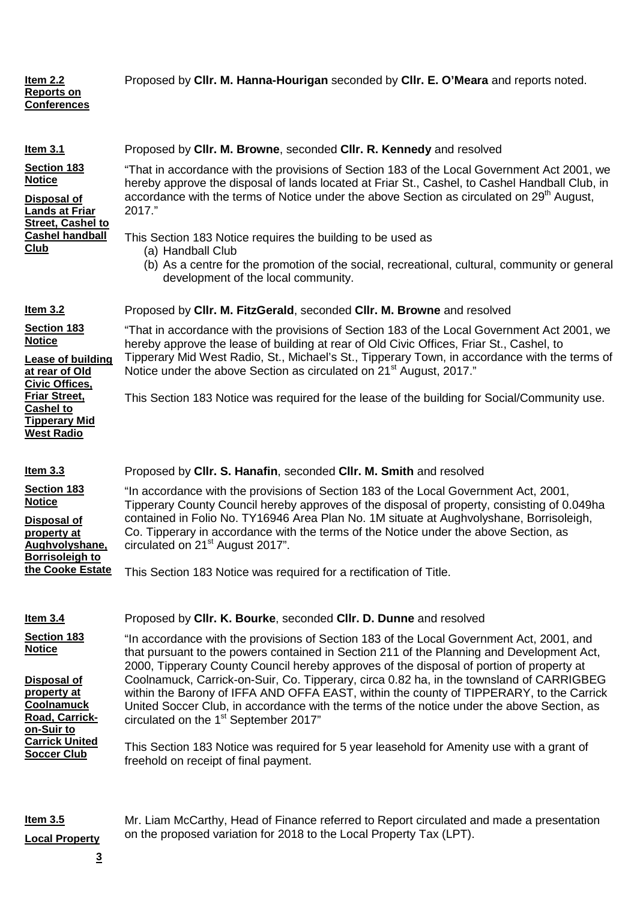| Item 2.2<br><b>Reports on</b><br><b>Conferences</b>                                                                                                                                                        | Proposed by CIIr. M. Hanna-Hourigan seconded by CIIr. E. O'Meara and reports noted.                                                                                                                                                                                                                                                                                                                                                                                                                                                                                                                                                                                                                                                                                                                                                    |
|------------------------------------------------------------------------------------------------------------------------------------------------------------------------------------------------------------|----------------------------------------------------------------------------------------------------------------------------------------------------------------------------------------------------------------------------------------------------------------------------------------------------------------------------------------------------------------------------------------------------------------------------------------------------------------------------------------------------------------------------------------------------------------------------------------------------------------------------------------------------------------------------------------------------------------------------------------------------------------------------------------------------------------------------------------|
| <b>Item 3.1</b><br>Section 183<br><b>Notice</b><br>Disposal of<br><b>Lands at Friar</b><br><b>Street, Cashel to</b><br><b>Cashel handball</b><br>Club                                                      | Proposed by CIIr. M. Browne, seconded CIIr. R. Kennedy and resolved<br>"That in accordance with the provisions of Section 183 of the Local Government Act 2001, we<br>hereby approve the disposal of lands located at Friar St., Cashel, to Cashel Handball Club, in<br>accordance with the terms of Notice under the above Section as circulated on 29 <sup>th</sup> August,<br>2017."<br>This Section 183 Notice requires the building to be used as<br>(a) Handball Club<br>(b) As a centre for the promotion of the social, recreational, cultural, community or general<br>development of the local community.                                                                                                                                                                                                                    |
| Item $3.2$<br>Section 183<br><b>Notice</b><br><b>Lease of building</b><br>at rear of Old<br><b>Civic Offices,</b><br><b>Friar Street,</b><br><b>Cashel to</b><br><b>Tipperary Mid</b><br><b>West Radio</b> | Proposed by Cllr. M. FitzGerald, seconded Cllr. M. Browne and resolved<br>"That in accordance with the provisions of Section 183 of the Local Government Act 2001, we<br>hereby approve the lease of building at rear of Old Civic Offices, Friar St., Cashel, to<br>Tipperary Mid West Radio, St., Michael's St., Tipperary Town, in accordance with the terms of<br>Notice under the above Section as circulated on 21 <sup>st</sup> August, 2017."<br>This Section 183 Notice was required for the lease of the building for Social/Community use.                                                                                                                                                                                                                                                                                  |
| $Item 3.3$<br>Section 183<br><b>Notice</b><br>Disposal of<br>property at<br>Aughvolyshane,<br><b>Borrisoleigh to</b><br>the Cooke Estate                                                                   | Proposed by Cllr. S. Hanafin, seconded Cllr. M. Smith and resolved<br>"In accordance with the provisions of Section 183 of the Local Government Act, 2001,<br>Tipperary County Council hereby approves of the disposal of property, consisting of 0.049ha<br>contained in Folio No. TY16946 Area Plan No. 1M situate at Aughvolyshane, Borrisoleigh,<br>Co. Tipperary in accordance with the terms of the Notice under the above Section, as<br>circulated on 21 <sup>st</sup> August 2017".<br>This Section 183 Notice was required for a rectification of Title.                                                                                                                                                                                                                                                                     |
| Item $3.4$<br>Section 183<br><b>Notice</b><br><b>Disposal of</b><br>property at<br><b>Coolnamuck</b><br>Road, Carrick-<br>on-Suir to<br><b>Carrick United</b><br><b>Soccer Club</b>                        | Proposed by Cllr. K. Bourke, seconded Cllr. D. Dunne and resolved<br>"In accordance with the provisions of Section 183 of the Local Government Act, 2001, and<br>that pursuant to the powers contained in Section 211 of the Planning and Development Act,<br>2000, Tipperary County Council hereby approves of the disposal of portion of property at<br>Coolnamuck, Carrick-on-Suir, Co. Tipperary, circa 0.82 ha, in the townsland of CARRIGBEG<br>within the Barony of IFFA AND OFFA EAST, within the county of TIPPERARY, to the Carrick<br>United Soccer Club, in accordance with the terms of the notice under the above Section, as<br>circulated on the 1 <sup>st</sup> September 2017"<br>This Section 183 Notice was required for 5 year leasehold for Amenity use with a grant of<br>freehold on receipt of final payment. |
| Item $3.5$                                                                                                                                                                                                 | Mr. Liam McCarthy, Head of Finance referred to Report circulated and made a presentation                                                                                                                                                                                                                                                                                                                                                                                                                                                                                                                                                                                                                                                                                                                                               |

on the proposed variation for 2018 to the Local Property Tax (LPT).

**Local Property**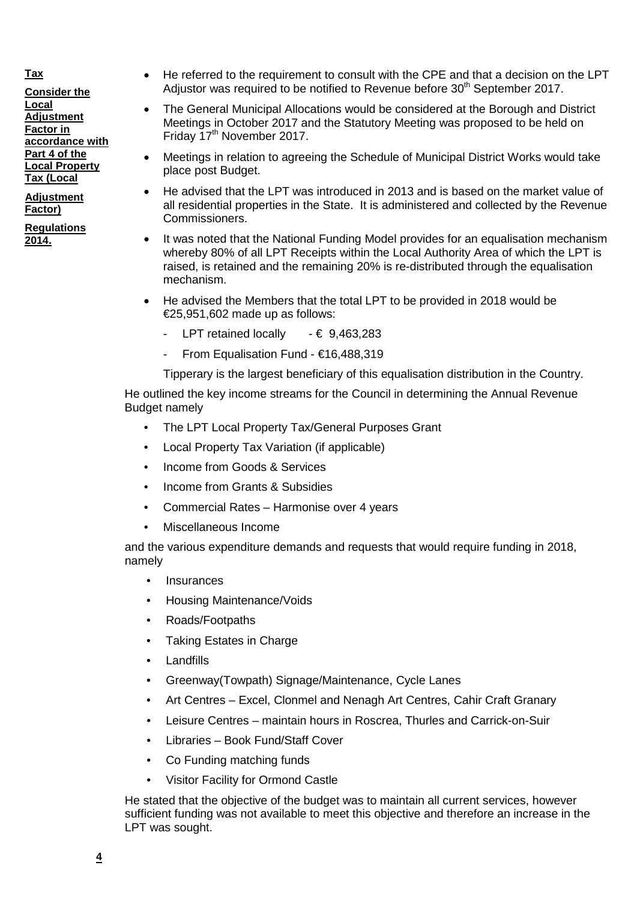# **Tax**

**Consider the Local Adjustment Factor in accordance with Part 4 of the Local Property Tax (Local**

**Adjustment Factor)**

**Regulations 2014.**

- He referred to the requirement to consult with the CPE and that a decision on the LPT Adjustor was required to be notified to Revenue before 30<sup>th</sup> September 2017.
- The General Municipal Allocations would be considered at the Borough and District Meetings in October 2017 and the Statutory Meeting was proposed to be held on Friday 17th November 2017.
- Meetings in relation to agreeing the Schedule of Municipal District Works would take place post Budget.
- He advised that the LPT was introduced in 2013 and is based on the market value of all residential properties in the State. It is administered and collected by the Revenue Commissioners.
- It was noted that the National Funding Model provides for an equalisation mechanism whereby 80% of all LPT Receipts within the Local Authority Area of which the LPT is raised, is retained and the remaining 20% is re-distributed through the equalisation mechanism.
- He advised the Members that the total LPT to be provided in 2018 would be €25,951,602 made up as follows:
	- LPT retained locally  $\cdot \in 9.463.283$
	- From Equalisation Fund €16,488,319

Tipperary is the largest beneficiary of this equalisation distribution in the Country.

He outlined the key income streams for the Council in determining the Annual Revenue Budget namely

- The LPT Local Property Tax/General Purposes Grant
- Local Property Tax Variation (if applicable)
- Income from Goods & Services
- Income from Grants & Subsidies
- Commercial Rates Harmonise over 4 years
- Miscellaneous Income

and the various expenditure demands and requests that would require funding in 2018, namely

- **Insurances**
- Housing Maintenance/Voids
- Roads/Footpaths
- Taking Estates in Charge
- Landfills
- Greenway(Towpath) Signage/Maintenance, Cycle Lanes
- Art Centres Excel, Clonmel and Nenagh Art Centres, Cahir Craft Granary
- Leisure Centres maintain hours in Roscrea, Thurles and Carrick-on-Suir
- Libraries Book Fund/Staff Cover
- Co Funding matching funds
- Visitor Facility for Ormond Castle

He stated that the objective of the budget was to maintain all current services, however sufficient funding was not available to meet this objective and therefore an increase in the LPT was sought.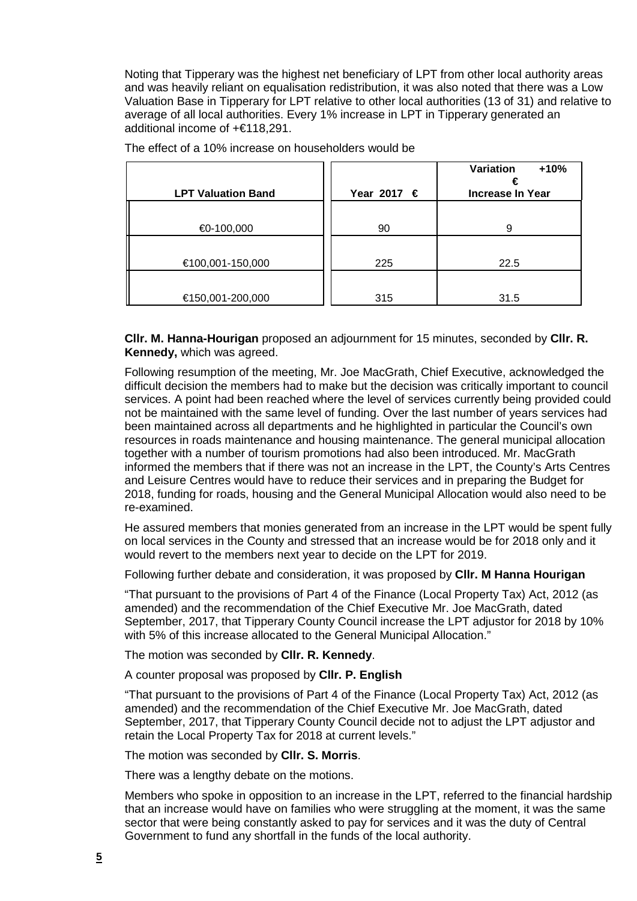Noting that Tipperary was the highest net beneficiary of LPT from other local authority areas and was heavily reliant on equalisation redistribution, it was also noted that there was a Low Valuation Base in Tipperary for LPT relative to other local authorities (13 of 31) and relative to average of all local authorities. Every 1% increase in LPT in Tipperary generated an additional income of +€118,291.

|                           |                      | Variation<br>$+10%$     |
|---------------------------|----------------------|-------------------------|
| <b>LPT Valuation Band</b> | Year 2017 $\epsilon$ | <b>Increase In Year</b> |
|                           |                      |                         |
| $€0-100,000$              | 90                   | a                       |
|                           |                      |                         |
| €100,001-150,000          | 225                  | 22.5                    |
|                           |                      |                         |
| €150,001-200,000          | 315                  | 31.5                    |

The effect of a 10% increase on householders would be

**Cllr. M. Hanna-Hourigan** proposed an adjournment for 15 minutes, seconded by **Cllr. R. Kennedy,** which was agreed.

Following resumption of the meeting, Mr. Joe MacGrath, Chief Executive, acknowledged the difficult decision the members had to make but the decision was critically important to council services. A point had been reached where the level of services currently being provided could not be maintained with the same level of funding. Over the last number of years services had been maintained across all departments and he highlighted in particular the Council's own resources in roads maintenance and housing maintenance. The general municipal allocation together with a number of tourism promotions had also been introduced. Mr. MacGrath informed the members that if there was not an increase in the LPT, the County's Arts Centres and Leisure Centres would have to reduce their services and in preparing the Budget for 2018, funding for roads, housing and the General Municipal Allocation would also need to be re-examined.

He assured members that monies generated from an increase in the LPT would be spent fully on local services in the County and stressed that an increase would be for 2018 only and it would revert to the members next year to decide on the LPT for 2019.

Following further debate and consideration, it was proposed by **Cllr. M Hanna Hourigan**

"That pursuant to the provisions of Part 4 of the Finance (Local Property Tax) Act, 2012 (as amended) and the recommendation of the Chief Executive Mr. Joe MacGrath, dated September, 2017, that Tipperary County Council increase the LPT adjustor for 2018 by 10% with 5% of this increase allocated to the General Municipal Allocation."

The motion was seconded by **Cllr. R. Kennedy**.

A counter proposal was proposed by **Cllr. P. English**

"That pursuant to the provisions of Part 4 of the Finance (Local Property Tax) Act, 2012 (as amended) and the recommendation of the Chief Executive Mr. Joe MacGrath, dated September, 2017, that Tipperary County Council decide not to adjust the LPT adjustor and retain the Local Property Tax for 2018 at current levels."

The motion was seconded by **Cllr. S. Morris**.

There was a lengthy debate on the motions.

Members who spoke in opposition to an increase in the LPT, referred to the financial hardship that an increase would have on families who were struggling at the moment, it was the same sector that were being constantly asked to pay for services and it was the duty of Central Government to fund any shortfall in the funds of the local authority.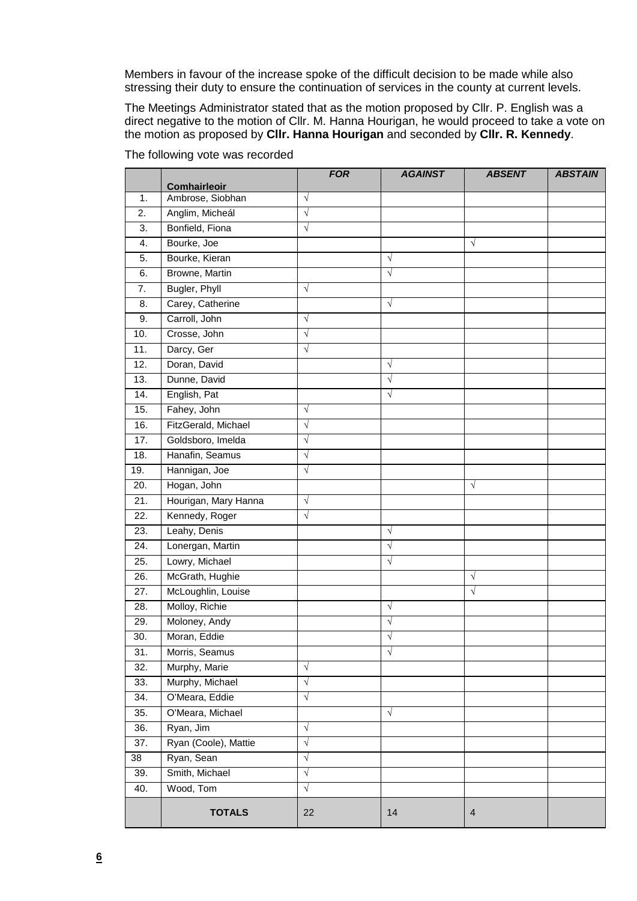Members in favour of the increase spoke of the difficult decision to be made while also stressing their duty to ensure the continuation of services in the county at current levels.

The Meetings Administrator stated that as the motion proposed by Cllr. P. English was a direct negative to the motion of Cllr. M. Hanna Hourigan, he would proceed to take a vote on the motion as proposed by **Cllr. Hanna Hourigan** and seconded by **Cllr. R. Kennedy**.

|                   |                      | <b>FOR</b> | <b>AGAINST</b> | <b>ABSENT</b>  | <b>ABSTAIN</b> |
|-------------------|----------------------|------------|----------------|----------------|----------------|
|                   | <b>Comhairleoir</b>  |            |                |                |                |
| 1.                | Ambrose, Siobhan     | $\sqrt{ }$ |                |                |                |
| 2.                | Anglim, Micheál      | $\sqrt{}$  |                |                |                |
| 3.                | Bonfield, Fiona      | $\sqrt{}$  |                |                |                |
| 4.                | Bourke, Joe          |            |                | $\sqrt{}$      |                |
| 5.                | Bourke, Kieran       |            | V              |                |                |
| 6.                | Browne, Martin       |            | $\sqrt{}$      |                |                |
| 7.                | Bugler, Phyll        | $\sqrt{}$  |                |                |                |
| 8.                | Carey, Catherine     |            | $\sqrt{}$      |                |                |
| 9.                | Carroll, John        | $\sqrt{ }$ |                |                |                |
| 10.               | Crosse, John         | $\sqrt{}$  |                |                |                |
| $\overline{11}$ . | Darcy, Ger           | $\sqrt{}$  |                |                |                |
| 12.               | Doran, David         |            | $\sqrt{}$      |                |                |
| 13.               | Dunne, David         |            | √              |                |                |
| 14.               | English, Pat         |            | $\sqrt{}$      |                |                |
| 15.               | Fahey, John          | $\sqrt{}$  |                |                |                |
| 16.               | FitzGerald, Michael  | $\sqrt{}$  |                |                |                |
| 17.               | Goldsboro, Imelda    | $\sqrt{}$  |                |                |                |
| 18.               | Hanafin, Seamus      | $\sqrt{}$  |                |                |                |
| 19.               | Hannigan, Joe        | $\sqrt{}$  |                |                |                |
| 20.               | Hogan, John          |            |                | $\sqrt{ }$     |                |
| 21.               | Hourigan, Mary Hanna | $\sqrt{}$  |                |                |                |
| 22.               | Kennedy, Roger       | $\sqrt{}$  |                |                |                |
| 23.               | Leahy, Denis         |            | $\sqrt{}$      |                |                |
| 24.               | Lonergan, Martin     |            | $\sqrt{}$      |                |                |
| 25.               | Lowry, Michael       |            | $\sqrt{}$      |                |                |
| 26.               | McGrath, Hughie      |            |                | $\sqrt{}$      |                |
| 27.               | McLoughlin, Louise   |            |                | $\sqrt{}$      |                |
| 28.               | Molloy, Richie       |            | $\sqrt{}$      |                |                |
| 29.               | Moloney, Andy        |            | $\sqrt{}$      |                |                |
| 30.               | Moran, Eddie         |            | $\sqrt{}$      |                |                |
| 31.               | Morris, Seamus       |            | $\sqrt{}$      |                |                |
| 32.               | Murphy, Marie        | $\sqrt{}$  |                |                |                |
| 33.               | Murphy, Michael      | $\sqrt{}$  |                |                |                |
| 34.               | O'Meara, Eddie       | $\sqrt{}$  |                |                |                |
| 35.               | O'Meara, Michael     |            | $\sqrt{}$      |                |                |
| 36.               | Ryan, Jim            | $\sqrt{}$  |                |                |                |
| 37.               | Ryan (Coole), Mattie | $\sqrt{}$  |                |                |                |
| 38                | Ryan, Sean           | $\sqrt{}$  |                |                |                |
| 39.               | Smith, Michael       | $\sqrt{}$  |                |                |                |
| 40.               | Wood, Tom            | $\sqrt{}$  |                |                |                |
|                   | <b>TOTALS</b>        | 22         | 14             | $\overline{4}$ |                |

The following vote was recorded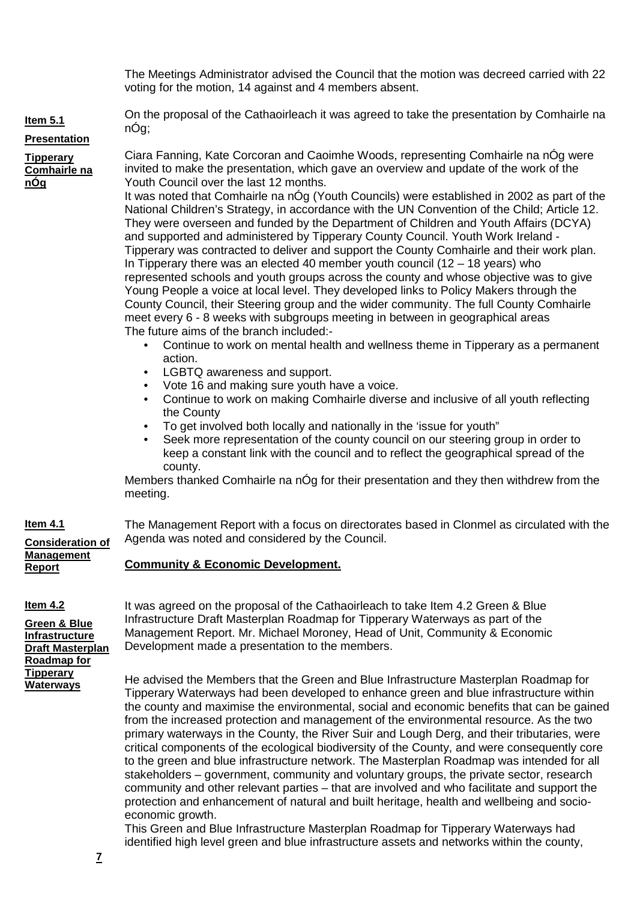The Meetings Administrator advised the Council that the motion was decreed carried with 22 voting for the motion, 14 against and 4 members absent.

On the proposal of the Cathaoirleach it was agreed to take the presentation by Comhairle na nÓg;

# **Presentation**

**Item 5.1**

**Tipperary Comhairle na nÓg**

Ciara Fanning, Kate Corcoran and Caoimhe Woods, representing Comhairle na nÓg were invited to make the presentation, which gave an overview and update of the work of the Youth Council over the last 12 months.

It was noted that Comhairle na nÓg (Youth Councils) were established in 2002 as part of the National Children's Strategy, in accordance with the UN Convention of the Child; Article 12. They were overseen and funded by the Department of Children and Youth Affairs (DCYA) and supported and administered by Tipperary County Council. Youth Work Ireland - Tipperary was contracted to deliver and support the County Comhairle and their work plan. In Tipperary there was an elected 40 member youth council (12 – 18 years) who represented schools and youth groups across the county and whose objective was to give Young People a voice at local level. They developed links to Policy Makers through the County Council, their Steering group and the wider community. The full County Comhairle meet every 6 - 8 weeks with subgroups meeting in between in geographical areas The future aims of the branch included:-

- Continue to work on mental health and wellness theme in Tipperary as a permanent action.
- LGBTQ awareness and support.
- Vote 16 and making sure youth have a voice.
- Continue to work on making Comhairle diverse and inclusive of all youth reflecting the County
- To get involved both locally and nationally in the 'issue for youth"
- Seek more representation of the county council on our steering group in order to keep a constant link with the council and to reflect the geographical spread of the county.

Members thanked Comhairle na nÓg for their presentation and they then withdrew from the meeting.

**Consideration of**  The Management Report with a focus on directorates based in Clonmel as circulated with the Agenda was noted and considered by the Council.

# **Community & Economic Development.**

# **Item 4.2**

**Item 4.1**

**Management Report**

**Green & Blue Infrastructure Draft Masterplan Roadmap for Tipperary Waterways**

It was agreed on the proposal of the Cathaoirleach to take Item 4.2 Green & Blue Infrastructure Draft Masterplan Roadmap for Tipperary Waterways as part of the Management Report. Mr. Michael Moroney, Head of Unit, Community & Economic Development made a presentation to the members.

He advised the Members that the Green and Blue Infrastructure Masterplan Roadmap for Tipperary Waterways had been developed to enhance green and blue infrastructure within the county and maximise the environmental, social and economic benefits that can be gained from the increased protection and management of the environmental resource. As the two primary waterways in the County, the River Suir and Lough Derg, and their tributaries, were critical components of the ecological biodiversity of the County, and were consequently core to the green and blue infrastructure network. The Masterplan Roadmap was intended for all stakeholders – government, community and voluntary groups, the private sector, research community and other relevant parties – that are involved and who facilitate and support the protection and enhancement of natural and built heritage, health and wellbeing and socioeconomic growth.

This Green and Blue Infrastructure Masterplan Roadmap for Tipperary Waterways had identified high level green and blue infrastructure assets and networks within the county,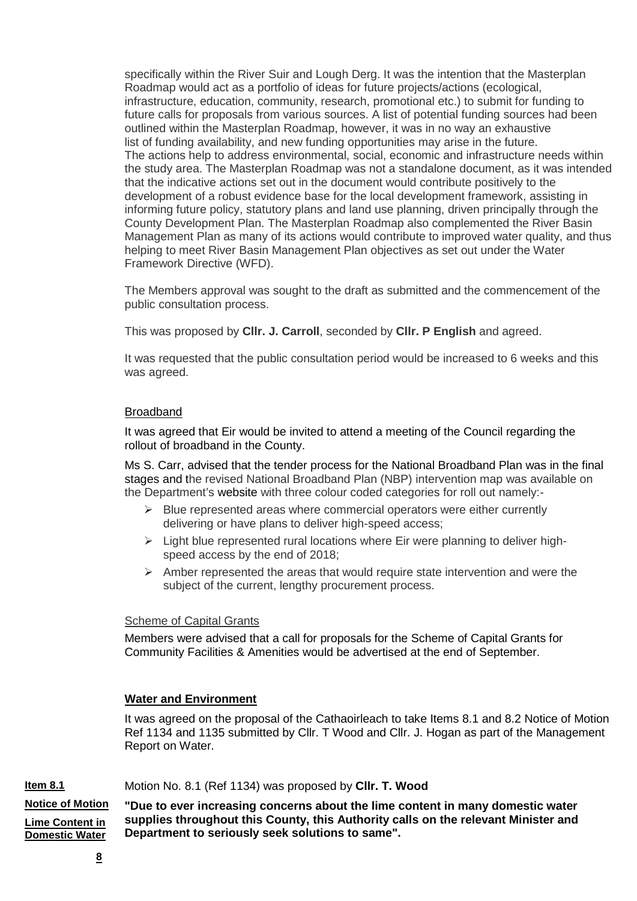specifically within the River Suir and Lough Derg. It was the intention that the Masterplan Roadmap would act as a portfolio of ideas for future projects/actions (ecological, infrastructure, education, community, research, promotional etc.) to submit for funding to future calls for proposals from various sources. A list of potential funding sources had been outlined within the Masterplan Roadmap, however, it was in no way an exhaustive list of funding availability, and new funding opportunities may arise in the future. The actions help to address environmental, social, economic and infrastructure needs within the study area. The Masterplan Roadmap was not a standalone document, as it was intended that the indicative actions set out in the document would contribute positively to the development of a robust evidence base for the local development framework, assisting in informing future policy, statutory plans and land use planning, driven principally through the County Development Plan. The Masterplan Roadmap also complemented the River Basin Management Plan as many of its actions would contribute to improved water quality, and thus helping to meet River Basin Management Plan objectives as set out under the Water Framework Directive (WFD).

The Members approval was sought to the draft as submitted and the commencement of the public consultation process.

This was proposed by **Cllr. J. Carroll**, seconded by **Cllr. P English** and agreed.

It was requested that the public consultation period would be increased to 6 weeks and this was agreed.

# Broadband

It was agreed that Eir would be invited to attend a meeting of the Council regarding the rollout of broadband in the County.

Ms S. Carr, advised that the tender process for the National Broadband Plan was in the final stages and the revised National Broadband Plan (NBP) intervention map was available on the Department's [website](http://www.dccae.gov.ie/en-ie/communications/topics/Broadband/national-broadband-plan/high-speed-broadband-map/Pages/Interactive-Map.aspx) with three colour coded categories for roll out namely:-

- $\triangleright$  Blue represented areas where commercial operators were either currently delivering or have plans to deliver high-speed access;
- $\triangleright$  Light blue represented rural locations where Eir were planning to deliver highspeed access by the end of 2018;
- $\triangleright$  Amber represented the areas that would require state intervention and were the subject of the current, lengthy procurement process.

# Scheme of Capital Grants

Members were advised that a call for proposals for the Scheme of Capital Grants for Community Facilities & Amenities would be advertised at the end of September.

# **Water and Environment**

It was agreed on the proposal of the Cathaoirleach to take Items 8.1 and 8.2 Notice of Motion Ref 1134 and 1135 submitted by Cllr. T Wood and Cllr. J. Hogan as part of the Management Report on Water.

#### **Item 8.1** Motion No. 8.1 (Ref 1134) was proposed by **Cllr. T. Wood**

**Notice of Motion Lime Content in Domestic Water "Due to ever increasing concerns about the lime content in many domestic water supplies throughout this County, this Authority calls on the relevant Minister and Department to seriously seek solutions to same".**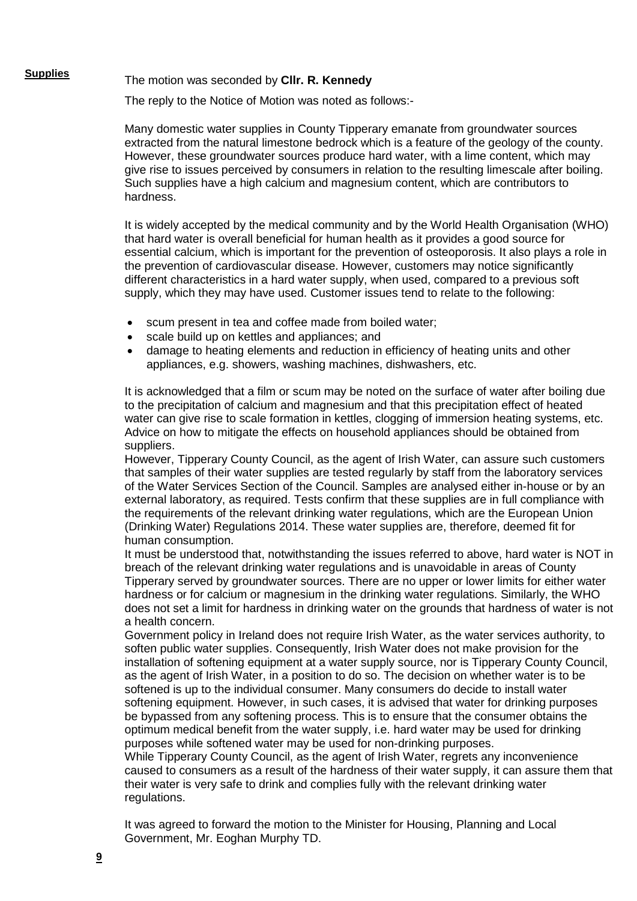**Supplies** The motion was seconded by **Cllr. R. Kennedy**

The reply to the Notice of Motion was noted as follows:-

Many domestic water supplies in County Tipperary emanate from groundwater sources extracted from the natural limestone bedrock which is a feature of the geology of the county. However, these groundwater sources produce hard water, with a lime content, which may give rise to issues perceived by consumers in relation to the resulting limescale after boiling. Such supplies have a high calcium and magnesium content, which are contributors to hardness.

It is widely accepted by the medical community and by the World Health Organisation (WHO) that hard water is overall beneficial for human health as it provides a good source for essential calcium, which is important for the prevention of osteoporosis. It also plays a role in the prevention of cardiovascular disease. However, customers may notice significantly different characteristics in a hard water supply, when used, compared to a previous soft supply, which they may have used. Customer issues tend to relate to the following:

- scum present in tea and coffee made from boiled water;
- scale build up on kettles and appliances; and
- damage to heating elements and reduction in efficiency of heating units and other appliances, e.g. showers, washing machines, dishwashers, etc.

It is acknowledged that a film or scum may be noted on the surface of water after boiling due to the precipitation of calcium and magnesium and that this precipitation effect of heated water can give rise to scale formation in kettles, clogging of immersion heating systems, etc. Advice on how to mitigate the effects on household appliances should be obtained from suppliers.

However, Tipperary County Council, as the agent of Irish Water, can assure such customers that samples of their water supplies are tested regularly by staff from the laboratory services of the Water Services Section of the Council. Samples are analysed either in-house or by an external laboratory, as required. Tests confirm that these supplies are in full compliance with the requirements of the relevant drinking water regulations, which are the European Union (Drinking Water) Regulations 2014. These water supplies are, therefore, deemed fit for human consumption.

It must be understood that, notwithstanding the issues referred to above, hard water is NOT in breach of the relevant drinking water regulations and is unavoidable in areas of County Tipperary served by groundwater sources. There are no upper or lower limits for either water hardness or for calcium or magnesium in the drinking water regulations. Similarly, the WHO does not set a limit for hardness in drinking water on the grounds that hardness of water is not a health concern.

Government policy in Ireland does not require Irish Water, as the water services authority, to soften public water supplies. Consequently, Irish Water does not make provision for the installation of softening equipment at a water supply source, nor is Tipperary County Council, as the agent of Irish Water, in a position to do so. The decision on whether water is to be softened is up to the individual consumer. Many consumers do decide to install water softening equipment. However, in such cases, it is advised that water for drinking purposes be bypassed from any softening process. This is to ensure that the consumer obtains the optimum medical benefit from the water supply, i.e. hard water may be used for drinking purposes while softened water may be used for non-drinking purposes.

While Tipperary County Council, as the agent of Irish Water, regrets any inconvenience caused to consumers as a result of the hardness of their water supply, it can assure them that their water is very safe to drink and complies fully with the relevant drinking water regulations.

It was agreed to forward the motion to the Minister for Housing, Planning and Local Government, Mr. Eoghan Murphy TD.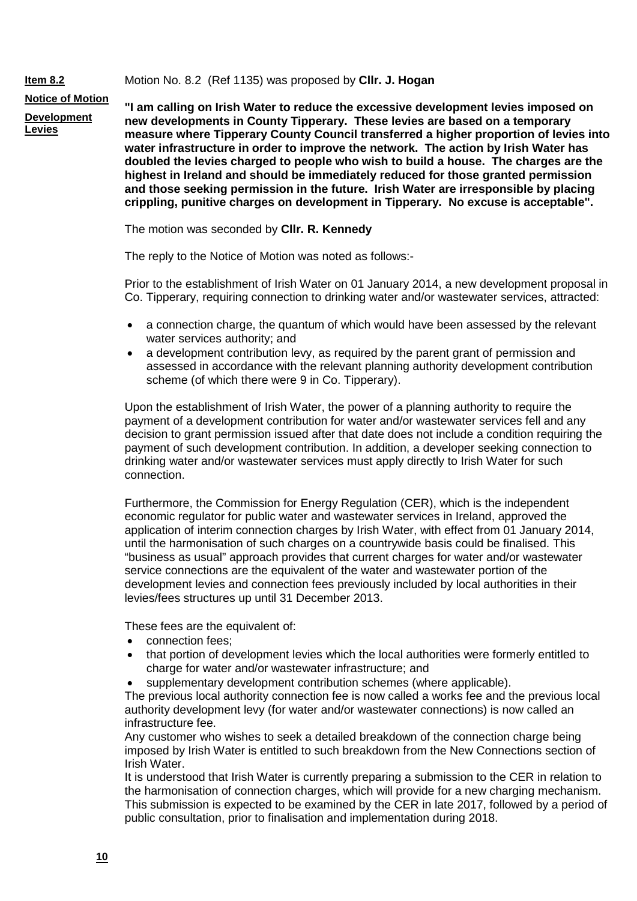### Motion No. 8.2 (Ref 1135) was proposed by **Cllr. J. Hogan**

**Notice of Motion**

**Item 8.2**

**Development** 

**Levies**

**"I am calling on Irish Water to reduce the excessive development levies imposed on new developments in County Tipperary. These levies are based on a temporary measure where Tipperary County Council transferred a higher proportion of levies into water infrastructure in order to improve the network. The action by Irish Water has doubled the levies charged to people who wish to build a house. The charges are the highest in Ireland and should be immediately reduced for those granted permission and those seeking permission in the future. Irish Water are irresponsible by placing crippling, punitive charges on development in Tipperary. No excuse is acceptable".**

The motion was seconded by **Cllr. R. Kennedy**

The reply to the Notice of Motion was noted as follows:-

Prior to the establishment of Irish Water on 01 January 2014, a new development proposal in Co. Tipperary, requiring connection to drinking water and/or wastewater services, attracted:

- a connection charge, the quantum of which would have been assessed by the relevant water services authority; and
- a development contribution levy, as required by the parent grant of permission and assessed in accordance with the relevant planning authority development contribution scheme (of which there were 9 in Co. Tipperary).

Upon the establishment of Irish Water, the power of a planning authority to require the payment of a development contribution for water and/or wastewater services fell and any decision to grant permission issued after that date does not include a condition requiring the payment of such development contribution. In addition, a developer seeking connection to drinking water and/or wastewater services must apply directly to Irish Water for such connection.

Furthermore, the Commission for Energy Regulation (CER), which is the independent economic regulator for public water and wastewater services in Ireland, approved the application of interim connection charges by Irish Water, with effect from 01 January 2014, until the harmonisation of such charges on a countrywide basis could be finalised. This "business as usual" approach provides that current charges for water and/or wastewater service connections are the equivalent of the water and wastewater portion of the development levies and connection fees previously included by local authorities in their levies/fees structures up until 31 December 2013.

These fees are the equivalent of:

- connection fees;
- that portion of development levies which the local authorities were formerly entitled to charge for water and/or wastewater infrastructure; and
- supplementary development contribution schemes (where applicable).

The previous local authority connection fee is now called a works fee and the previous local authority development levy (for water and/or wastewater connections) is now called an infrastructure fee.

Any customer who wishes to seek a detailed breakdown of the connection charge being imposed by Irish Water is entitled to such breakdown from the New Connections section of Irish Water.

It is understood that Irish Water is currently preparing a submission to the CER in relation to the harmonisation of connection charges, which will provide for a new charging mechanism. This submission is expected to be examined by the CER in late 2017, followed by a period of public consultation, prior to finalisation and implementation during 2018.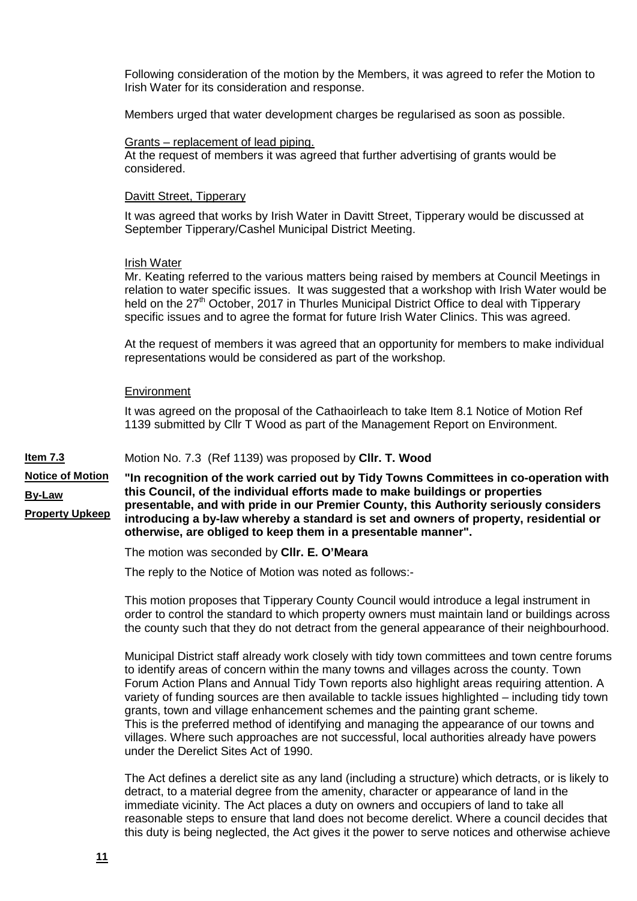Following consideration of the motion by the Members, it was agreed to refer the Motion to Irish Water for its consideration and response.

Members urged that water development charges be regularised as soon as possible.

### Grants – replacement of lead piping.

At the request of members it was agreed that further advertising of grants would be considered.

### Davitt Street, Tipperary

It was agreed that works by Irish Water in Davitt Street, Tipperary would be discussed at September Tipperary/Cashel Municipal District Meeting.

### Irish Water

Mr. Keating referred to the various matters being raised by members at Council Meetings in relation to water specific issues. It was suggested that a workshop with Irish Water would be held on the 27<sup>th</sup> October, 2017 in Thurles Municipal District Office to deal with Tipperary specific issues and to agree the format for future Irish Water Clinics. This was agreed.

At the request of members it was agreed that an opportunity for members to make individual representations would be considered as part of the workshop.

### **Environment**

It was agreed on the proposal of the Cathaoirleach to take Item 8.1 Notice of Motion Ref 1139 submitted by Cllr T Wood as part of the Management Report on Environment.

#### **Item 7.3** Motion No. 7.3 (Ref 1139) was proposed by **Cllr. T. Wood**

**Notice of Motion By-Law Property Upkeep "In recognition of the work carried out by Tidy Towns Committees in co-operation with this Council, of the individual efforts made to make buildings or properties presentable, and with pride in our Premier County, this Authority seriously considers introducing a by-law whereby a standard is set and owners of property, residential or otherwise, are obliged to keep them in a presentable manner".**

The motion was seconded by **Cllr. E. O'Meara**

The reply to the Notice of Motion was noted as follows:-

This motion proposes that Tipperary County Council would introduce a legal instrument in order to control the standard to which property owners must maintain land or buildings across the county such that they do not detract from the general appearance of their neighbourhood.

Municipal District staff already work closely with tidy town committees and town centre forums to identify areas of concern within the many towns and villages across the county. Town Forum Action Plans and Annual Tidy Town reports also highlight areas requiring attention. A variety of funding sources are then available to tackle issues highlighted – including tidy town grants, town and village enhancement schemes and the painting grant scheme. This is the preferred method of identifying and managing the appearance of our towns and villages. Where such approaches are not successful, local authorities already have powers under the Derelict Sites Act of 1990.

The Act defines a derelict site as any land (including a structure) which detracts, or is likely to detract, to a material degree from the amenity, character or appearance of land in the immediate vicinity. The Act places a duty on owners and occupiers of land to take all reasonable steps to ensure that land does not become derelict. Where a council decides that this duty is being neglected, the Act gives it the power to serve notices and otherwise achieve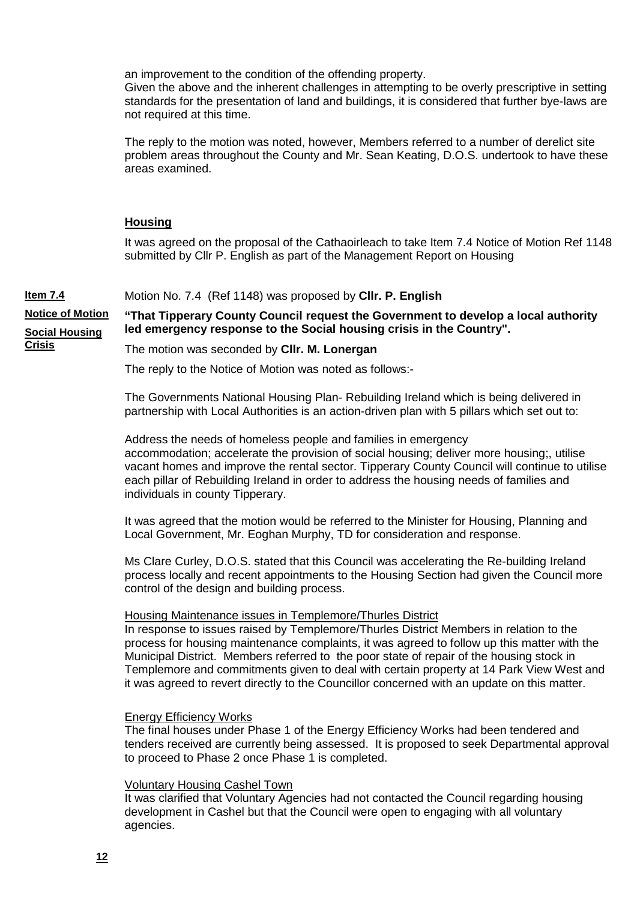an improvement to the condition of the offending property.

Given the above and the inherent challenges in attempting to be overly prescriptive in setting standards for the presentation of land and buildings, it is considered that further bye-laws are not required at this time.

The reply to the motion was noted, however, Members referred to a number of derelict site problem areas throughout the County and Mr. Sean Keating, D.O.S. undertook to have these areas examined.

# **Housing**

**Crisis**

It was agreed on the proposal of the Cathaoirleach to take Item 7.4 Notice of Motion Ref 1148 submitted by Cllr P. English as part of the Management Report on Housing

#### **Item 7.4** Motion No. 7.4 (Ref 1148) was proposed by **Cllr. P. English**

**Notice of Motion Social Housing "That Tipperary County Council request the Government to develop a local authority led emergency response to the Social housing crisis in the Country".**

The motion was seconded by **Cllr. M. Lonergan**

The reply to the Notice of Motion was noted as follows:-

The Governments National Housing Plan- Rebuilding Ireland which is being delivered in partnership with Local Authorities is an action-driven plan with 5 pillars which set out to:

Address the needs of homeless people and families in emergency accommodation; accelerate the provision of social housing; deliver more housing;, utilise vacant homes and improve the rental sector. Tipperary County Council will continue to utilise each pillar of Rebuilding Ireland in order to address the housing needs of families and individuals in county Tipperary.

It was agreed that the motion would be referred to the Minister for Housing, Planning and Local Government, Mr. Eoghan Murphy, TD for consideration and response.

Ms Clare Curley, D.O.S. stated that this Council was accelerating the Re-building Ireland process locally and recent appointments to the Housing Section had given the Council more control of the design and building process.

### Housing Maintenance issues in Templemore/Thurles District

In response to issues raised by Templemore/Thurles District Members in relation to the process for housing maintenance complaints, it was agreed to follow up this matter with the Municipal District. Members referred to the poor state of repair of the housing stock in Templemore and commitments given to deal with certain property at 14 Park View West and it was agreed to revert directly to the Councillor concerned with an update on this matter.

### Energy Efficiency Works

The final houses under Phase 1 of the Energy Efficiency Works had been tendered and tenders received are currently being assessed. It is proposed to seek Departmental approval to proceed to Phase 2 once Phase 1 is completed.

### Voluntary Housing Cashel Town

It was clarified that Voluntary Agencies had not contacted the Council regarding housing development in Cashel but that the Council were open to engaging with all voluntary agencies.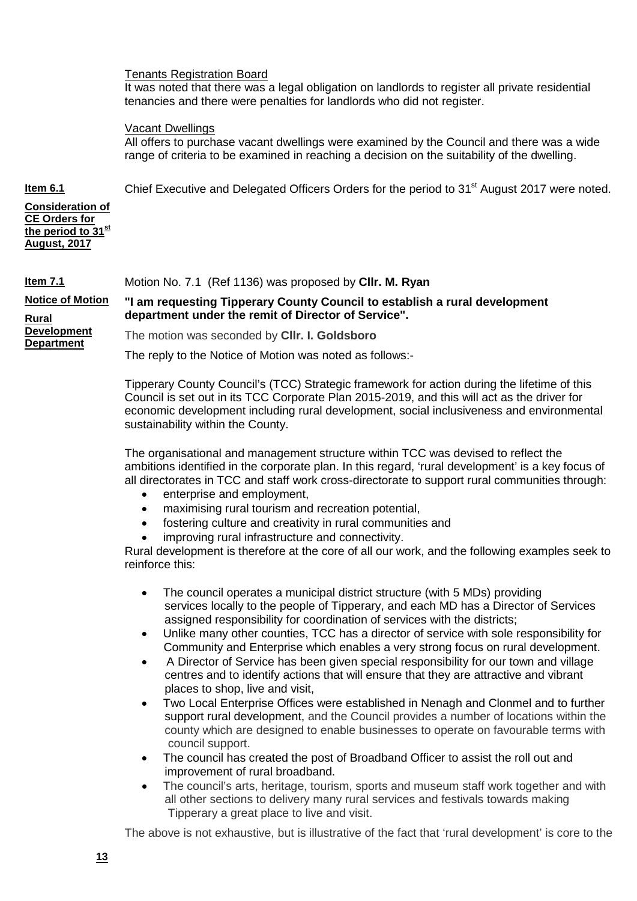# Tenants Registration Board

It was noted that there was a legal obligation on landlords to register all private residential tenancies and there were penalties for landlords who did not register.

### Vacant Dwellings

All offers to purchase vacant dwellings were examined by the Council and there was a wide range of criteria to be examined in reaching a decision on the suitability of the dwelling.

Chief Executive and Delegated Officers Orders for the period to 31<sup>st</sup> August 2017 were noted.

**Consideration of CE Orders for the period to 31st August, 2017**

**Item 6.1**

#### **Item 7.1** Motion No. 7.1 (Ref 1136) was proposed by **Cllr. M. Ryan**

**Notice of Motion Rural Development Department**

**department under the remit of Director of Service".**

The motion was seconded by **Cllr. I. Goldsboro**

The reply to the Notice of Motion was noted as follows:-

Tipperary County Council's (TCC) Strategic framework for action during the lifetime of this Council is set out in its TCC Corporate Plan 2015-2019, and this will act as the driver for economic development including rural development, social inclusiveness and environmental sustainability within the County.

**"I am requesting Tipperary County Council to establish a rural development** 

The organisational and management structure within TCC was devised to reflect the ambitions identified in the corporate plan. In this regard, 'rural development' is a key focus of all directorates in TCC and staff work cross-directorate to support rural communities through:

- enterprise and employment,
- maximising rural tourism and recreation potential,
- fostering culture and creativity in rural communities and
- improving rural infrastructure and connectivity.

Rural development is therefore at the core of all our work, and the following examples seek to reinforce this:

- The council operates a municipal district structure (with 5 MDs) providing services locally to the people of Tipperary, and each MD has a Director of Services assigned responsibility for coordination of services with the districts;
- Unlike many other counties, TCC has a director of service with sole responsibility for Community and Enterprise which enables a very strong focus on rural development.
- A Director of Service has been given special responsibility for our town and village centres and to identify actions that will ensure that they are attractive and vibrant places to shop, live and visit,
- Two Local Enterprise Offices were established in Nenagh and Clonmel and to further support rural development, and the Council provides a number of locations within the county which are designed to enable businesses to operate on favourable terms with council support.
- The council has created the post of Broadband Officer to assist the roll out and improvement of rural broadband.
- The council's arts, heritage, tourism, sports and museum staff work together and with all other sections to delivery many rural services and festivals towards making Tipperary a great place to live and visit.

The above is not exhaustive, but is illustrative of the fact that 'rural development' is core to the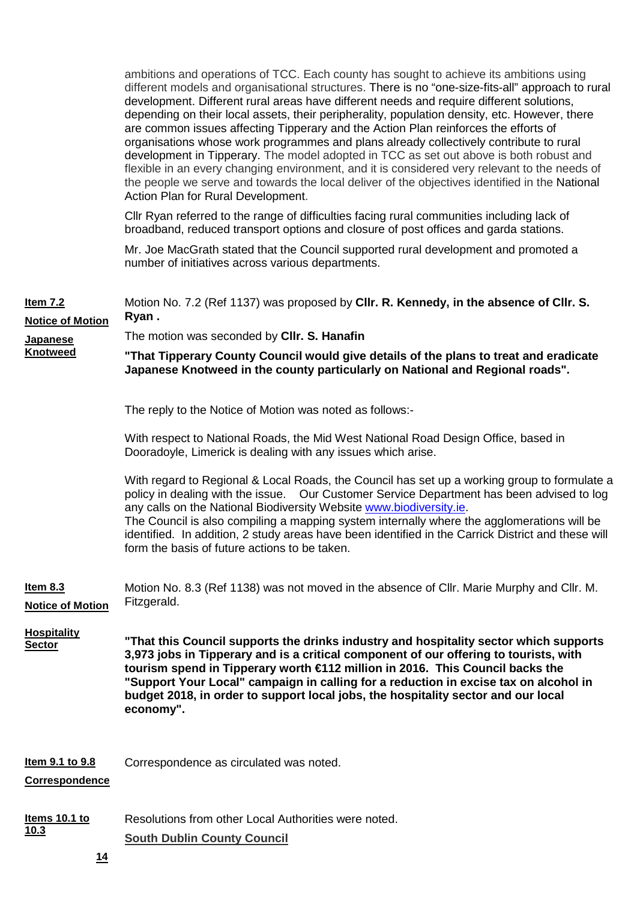ambitions and operations of TCC. Each county has sought to achieve its ambitions using different models and organisational structures. There is no "one-size-fits-all" approach to rural development. Different rural areas have different needs and require different solutions, depending on their local assets, their peripherality, population density, etc. However, there are common issues affecting Tipperary and the Action Plan reinforces the efforts of organisations whose work programmes and plans already collectively contribute to rural development in Tipperary. The model adopted in TCC as set out above is both robust and flexible in an every changing environment, and it is considered very relevant to the needs of the people we serve and towards the local deliver of the objectives identified in the National Action Plan for Rural Development.

Cllr Ryan referred to the range of difficulties facing rural communities including lack of broadband, reduced transport options and closure of post offices and garda stations.

Mr. Joe MacGrath stated that the Council supported rural development and promoted a number of initiatives across various departments.

| <b>Item 7.2</b><br><b>Notice of Motion</b><br><b>Japanese</b><br><b>Knotweed</b> | Motion No. 7.2 (Ref 1137) was proposed by CIIr. R. Kennedy, in the absence of CIIr. S.<br>Ryan.<br>The motion was seconded by CIIr. S. Hanafin<br>"That Tipperary County Council would give details of the plans to treat and eradicate<br>Japanese Knotweed in the county particularly on National and Regional roads".                                                                                                                                                                                               |  |  |  |
|----------------------------------------------------------------------------------|------------------------------------------------------------------------------------------------------------------------------------------------------------------------------------------------------------------------------------------------------------------------------------------------------------------------------------------------------------------------------------------------------------------------------------------------------------------------------------------------------------------------|--|--|--|
|                                                                                  | The reply to the Notice of Motion was noted as follows:-                                                                                                                                                                                                                                                                                                                                                                                                                                                               |  |  |  |
|                                                                                  | With respect to National Roads, the Mid West National Road Design Office, based in<br>Dooradoyle, Limerick is dealing with any issues which arise.                                                                                                                                                                                                                                                                                                                                                                     |  |  |  |
|                                                                                  | With regard to Regional & Local Roads, the Council has set up a working group to formulate a<br>policy in dealing with the issue.  Our Customer Service Department has been advised to log<br>any calls on the National Biodiversity Website www.biodiversity.ie.<br>The Council is also compiling a mapping system internally where the agglomerations will be<br>identified. In addition, 2 study areas have been identified in the Carrick District and these will<br>form the basis of future actions to be taken. |  |  |  |
| <u>Item 8.3</u><br><b>Notice of Motion</b>                                       | Motion No. 8.3 (Ref 1138) was not moved in the absence of Cllr. Marie Murphy and Cllr. M.<br>Fitzgerald.                                                                                                                                                                                                                                                                                                                                                                                                               |  |  |  |
| <b>Hospitality</b><br><b>Sector</b>                                              | "That this Council supports the drinks industry and hospitality sector which supports<br>3,973 jobs in Tipperary and is a critical component of our offering to tourists, with<br>tourism spend in Tipperary worth €112 million in 2016. This Council backs the<br>"Support Your Local" campaign in calling for a reduction in excise tax on alcohol in<br>budget 2018, in order to support local jobs, the hospitality sector and our local<br>economy".                                                              |  |  |  |
| Item 9.1 to 9.8<br>Correspondence                                                | Correspondence as circulated was noted.                                                                                                                                                                                                                                                                                                                                                                                                                                                                                |  |  |  |
| <u>Items 10.1 to</u><br>10.3<br>14                                               | Resolutions from other Local Authorities were noted.<br><b>South Dublin County Council</b>                                                                                                                                                                                                                                                                                                                                                                                                                             |  |  |  |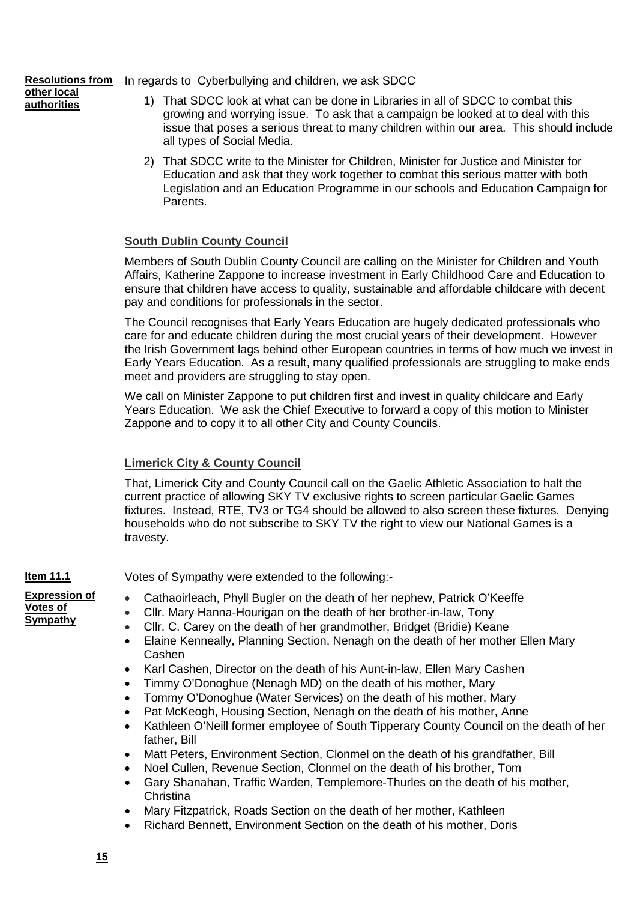**Resolutions from**  In regards to Cyberbullying and children, we ask SDCC

- **other local authorities**
- 1) That SDCC look at what can be done in Libraries in all of SDCC to combat this growing and worrying issue. To ask that a campaign be looked at to deal with this issue that poses a serious threat to many children within our area. This should include all types of Social Media.
- 2) That SDCC write to the Minister for Children, Minister for Justice and Minister for Education and ask that they work together to combat this serious matter with both Legislation and an Education Programme in our schools and Education Campaign for Parents.

# **South Dublin County Council**

Members of South Dublin County Council are calling on the Minister for Children and Youth Affairs, Katherine Zappone to increase investment in Early Childhood Care and Education to ensure that children have access to quality, sustainable and affordable childcare with decent pay and conditions for professionals in the sector.

The Council recognises that Early Years Education are hugely dedicated professionals who care for and educate children during the most crucial years of their development. However the Irish Government lags behind other European countries in terms of how much we invest in Early Years Education. As a result, many qualified professionals are struggling to make ends meet and providers are struggling to stay open.

We call on Minister Zappone to put children first and invest in quality childcare and Early Years Education. We ask the Chief Executive to forward a copy of this motion to Minister Zappone and to copy it to all other City and County Councils.

# **Limerick City & County Council**

That, Limerick City and County Council call on the Gaelic Athletic Association to halt the current practice of allowing SKY TV exclusive rights to screen particular Gaelic Games fixtures. Instead, RTE, TV3 or TG4 should be allowed to also screen these fixtures. Denying households who do not subscribe to SKY TV the right to view our National Games is a travesty.

**Item 11.1**

Votes of Sympathy were extended to the following:-

**Expression of Votes of Sympathy**

- Cathaoirleach, Phyll Bugler on the death of her nephew, Patrick O'Keeffe
- Cllr. Mary Hanna-Hourigan on the death of her brother-in-law, Tony
- Cllr. C. Carey on the death of her grandmother, Bridget (Bridie) Keane
- Elaine Kenneally, Planning Section, Nenagh on the death of her mother Ellen Mary Cashen
- Karl Cashen, Director on the death of his Aunt-in-law, Ellen Mary Cashen
- Timmy O'Donoghue (Nenagh MD) on the death of his mother, Mary
- Tommy O'Donoghue (Water Services) on the death of his mother, Mary
- Pat McKeogh, Housing Section, Nenagh on the death of his mother, Anne
- Kathleen O'Neill former employee of South Tipperary County Council on the death of her father, Bill
- Matt Peters, Environment Section, Clonmel on the death of his grandfather, Bill
- Noel Cullen, Revenue Section, Clonmel on the death of his brother, Tom
- Gary Shanahan, Traffic Warden, Templemore-Thurles on the death of his mother, **Christina**
- Mary Fitzpatrick, Roads Section on the death of her mother, Kathleen
- Richard Bennett, Environment Section on the death of his mother, Doris